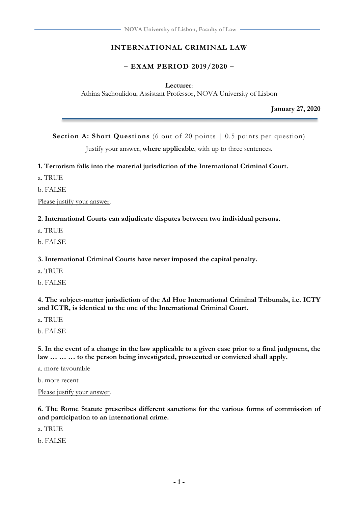### **INTERNATIONAL CRIMINAL LAW**

### **– EXAM PERIOD 2019/2020 –**

#### **Lecturer**:

Athina Sachoulidou, Assistant Professor, NOVA University of Lisbon

**January 27, 2020**

**Section A: Short Questions** (6 out of 20 points  $\vert$  0.5 points per question)

Justify your answer, **where applicable**, with up to three sentences.

#### **1. Terrorism falls into the material jurisdiction of the International Criminal Court.**

a. TRUE

b. FALSE

Please justify your answer.

**2. International Courts can adjudicate disputes between two individual persons.**

- a. TRUE
- b. FALSE

#### **3. International Criminal Courts have never imposed the capital penalty.**

- a. TRUE
- b. FALSE

**4. The subject-matter jurisdiction of the Ad Hoc International Criminal Tribunals, i.e. ICTY and ICTR, is identical to the one of the International Criminal Court.**

a. TRUE

b. FALSE

**5. In the event of a change in the law applicable to a given case prior to a final judgment, the law … … … to the person being investigated, prosecuted or convicted shall apply.**

a. more favourable

b. more recent

Please justify your answer.

**6. The Rome Statute prescribes different sanctions for the various forms of commission of and participation to an international crime.**

a. TRUE

b. FALSE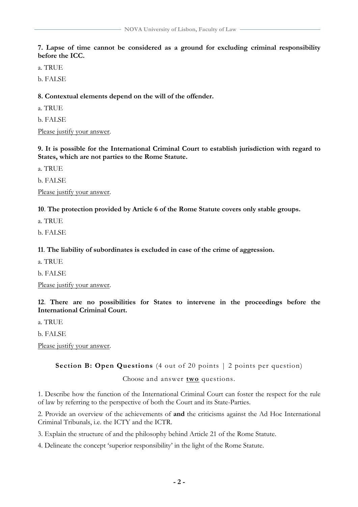**7. Lapse of time cannot be considered as a ground for excluding criminal responsibility before the ICC.**

a. TRUE

b. FALSE

**8. Contextual elements depend on the will of the offender.**

a. TRUE

b. FALSE

Please justify your answer.

**9. It is possible for the International Criminal Court to establish jurisdiction with regard to States, which are not parties to the Rome Statute.**

a. TRUE

b. FALSE

Please justify your answer.

**10**. **The protection provided by Article 6 of the Rome Statute covers only stable groups.**

a. TRUE

b. FALSE

**11**. **The liability of subordinates is excluded in case of the crime of aggression.**

a. TRUE

b. FALSE

Please justify your answer.

**12**. **There are no possibilities for States to intervene in the proceedings before the International Criminal Court.**

a. TRUE

b. FALSE

Please justify your answer.

**Section B: Open Questions** (4 out of 20 points | 2 points per question)

Choose and answer **two** questions.

1. Describe how the function of the International Criminal Court can foster the respect for the rule of law by referring to the perspective of both the Court and its State-Parties.

2. Provide an overview of the achievements of **and** the criticisms against the Ad Hoc International Criminal Tribunals, i.e. the ICTY and the ICTR.

3. Explain the structure of and the philosophy behind Article 21 of the Rome Statute.

4. Delineate the concept 'superior responsibility' in the light of the Rome Statute.